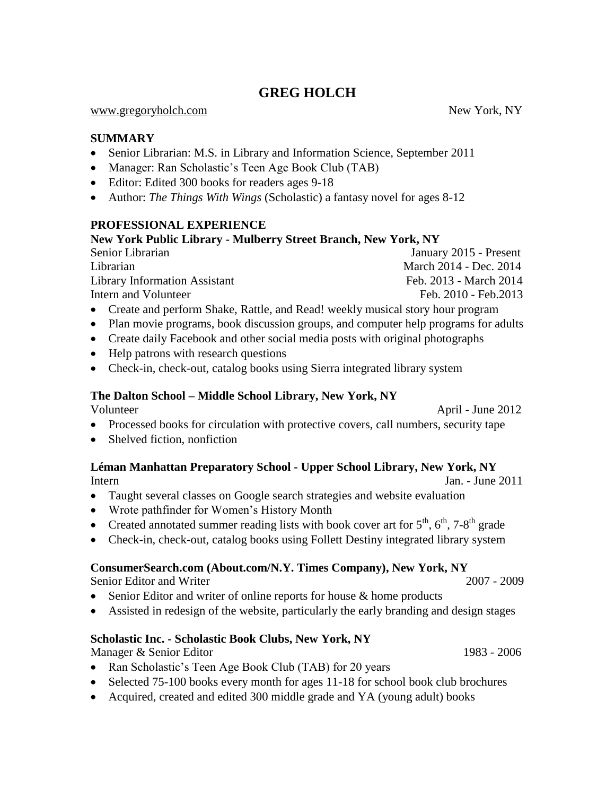# **GREG HOLCH**

#### [www.gregoryholch.com](http://www.gregoryholch.com/) New York, NY

### **SUMMARY**

- Senior Librarian: M.S. in Library and Information Science, September 2011
- Manager: Ran Scholastic's Teen Age Book Club (TAB)
- Editor: Edited 300 books for readers ages 9-18
- Author: *The Things With Wings* (Scholastic) a fantasy novel for ages 8-12

### **PROFESSIONAL EXPERIENCE**

### **New York Public Library - Mulberry Street Branch, New York, NY**

Senior Librarian January 2015 - Present Librarian March 2014 - Dec. 2014 Library Information Assistant Feb. 2013 - March 2014 Intern and Volunteer Feb. 2010 - Feb. 2013

- Create and perform Shake, Rattle, and Read! weekly musical story hour program
- Plan movie programs, book discussion groups, and computer help programs for adults
- Create daily Facebook and other social media posts with original photographs
- Help patrons with research questions
- Check-in, check-out, catalog books using Sierra integrated library system

# **The Dalton School – Middle School Library, New York, NY**

Volunteer April - June 2012

- Processed books for circulation with protective covers, call numbers, security tape
- Shelved fiction, nonfiction

### **Léman Manhattan Preparatory School - Upper School Library, New York, NY**  Intern Jan. - June 2011

- Taught several classes on Google search strategies and website evaluation
- Wrote pathfinder for Women's History Month
- Created annotated summer reading lists with book cover art for  $5<sup>th</sup>$ ,  $6<sup>th</sup>$ ,  $7-8<sup>th</sup>$  grade
- Check-in, check-out, catalog books using Follett Destiny integrated library system

### **ConsumerSearch.com (About.com/N.Y. Times Company), New York, NY**

Senior Editor and Writer 2007 - 2009

- Senior Editor and writer of online reports for house & home products
- Assisted in redesign of the website, particularly the early branding and design stages

### **Scholastic Inc. - Scholastic Book Clubs, New York, NY**

Manager & Senior Editor 1983 - 2006

- Ran Scholastic's Teen Age Book Club (TAB) for 20 years
- Selected 75-100 books every month for ages 11-18 for school book club brochures
- Acquired, created and edited 300 middle grade and YA (young adult) books